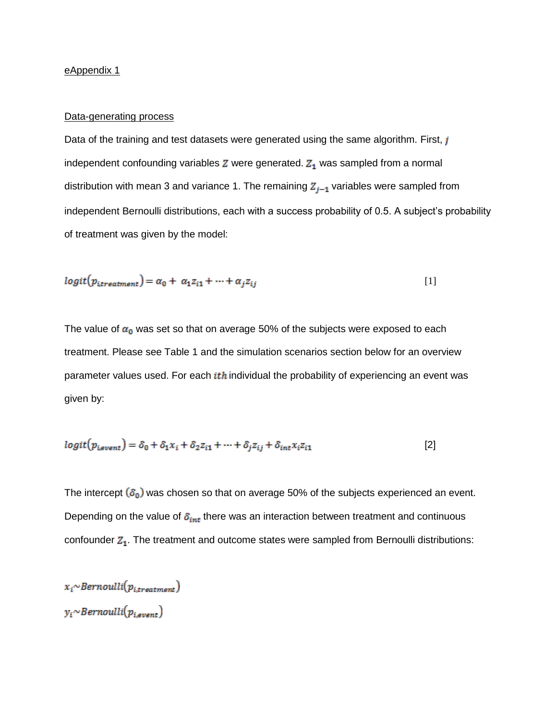## eAppendix 1

### Data-generating process

Data of the training and test datasets were generated using the same algorithm. First, j independent confounding variables  $Z$  were generated.  $Z_1$  was sampled from a normal distribution with mean 3 and variance 1. The remaining  $Z_{j-1}$  variables were sampled from independent Bernoulli distributions, each with a success probability of 0.5. A subject's probability of treatment was given by the model:

$$
logit(p_{itreatment}) = \alpha_0 + \alpha_1 z_{i1} + \dots + \alpha_j z_{ij}
$$
\n<sup>(1)</sup>

The value of  $\alpha_0$  was set so that on average 50% of the subjects were exposed to each treatment. Please see Table 1 and the simulation scenarios section below for an overview parameter values used. For each  $ith$  individual the probability of experiencing an event was given by:

$$
logit(p_{\text{isvent}}) = \delta_0 + \delta_1 x_i + \delta_2 z_{i1} + \dots + \delta_i z_{ij} + \delta_{int} x_i z_{i1}
$$
\n<sup>(2)</sup>

The intercept  $(\delta_0)$  was chosen so that on average 50% of the subjects experienced an event. Depending on the value of  $\delta_{int}$  there was an interaction between treatment and continuous confounder  $Z_1$ . The treatment and outcome states were sampled from Bernoulli distributions:

 $x_i$ ~Bernoulli $(p_{i, treatment})$  $y_i$ ~Bernoulli $(p_{i,event})$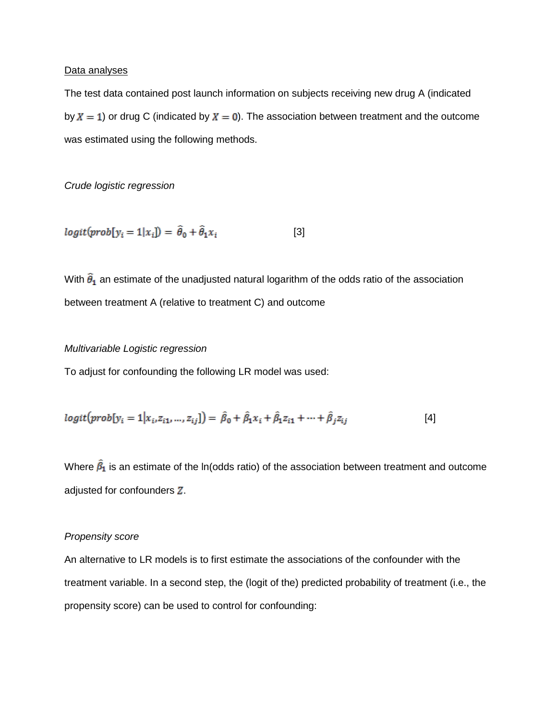## Data analyses

The test data contained post launch information on subjects receiving new drug A (indicated by  $X = 1$ ) or drug C (indicated by  $X = 0$ ). The association between treatment and the outcome was estimated using the following methods.

*Crude logistic regression*

$$
logit(prob[y_i = 1|x_i]) = \hat{\theta}_0 + \hat{\theta}_1 x_i
$$
 [3]

With  $\hat{\theta}_1$  an estimate of the unadjusted natural logarithm of the odds ratio of the association between treatment A (relative to treatment C) and outcome

# *Multivariable Logistic regression*

To adjust for confounding the following LR model was used:

$$
logit(prob[y_i = 1 | x_i, z_{i1}, ..., z_{ij}]) = \hat{\beta}_0 + \hat{\beta}_1 x_i + \hat{\beta}_1 z_{i1} + ... + \hat{\beta}_j z_{ij}
$$
 [4]

Where  $\hat{\beta}_1$  is an estimate of the ln(odds ratio) of the association between treatment and outcome adjusted for confounders  $Z$ .

### *Propensity score*

An alternative to LR models is to first estimate the associations of the confounder with the treatment variable. In a second step, the (logit of the) predicted probability of treatment (i.e., the propensity score) can be used to control for confounding: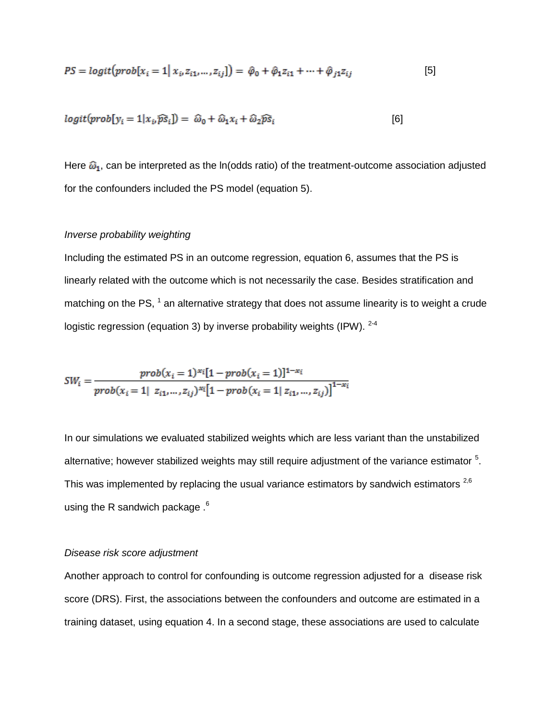$$
PS = logit(prob[x_i = 1 | x_i z_{i1},..., z_{ij}]) = \hat{\varphi}_0 + \hat{\varphi}_1 z_{i1} + \dots + \hat{\varphi}_{j1} z_{ij}
$$
 [5]

$$
logit(prob[y_i = 1 | x_i \widehat{ps}_i]) = \widehat{\omega}_0 + \widehat{\omega}_1 x_i + \widehat{\omega}_2 \widehat{ps}_i
$$
\n
$$
[6]
$$

Here  $\widehat{\omega}_1$ , can be interpreted as the ln(odds ratio) of the treatment-outcome association adjusted for the confounders included the PS model (equation 5).

## *Inverse probability weighting*

Including the estimated PS in an outcome regression, equation 6, assumes that the PS is linearly related with the outcome which is not necessarily the case. Besides stratification and matching on the PS,  $^1$  an alternative strategy that does not assume linearity is to weight a crude logistic regression (equation 3) by inverse probability weights (IPW).  $2-4$ 

$$
SW_i = \frac{prob(x_i = 1)^{x_i}[1 - prob(x_i = 1)]^{1 - x_i}}{prob(x_i = 1 | z_{i1}, ..., z_{ij})^{x_i}[1 - prob(x_i = 1 | z_{i1}, ..., z_{ij})]^{1 - x_i}}
$$

In our simulations we evaluated stabilized weights which are less variant than the unstabilized alternative; however stabilized weights may still require adjustment of the variance estimator  $5$ . This was implemented by replacing the usual variance estimators by sandwich estimators  $^{2,6}$ using the R sandwich package .<sup>6</sup>

#### *Disease risk score adjustment*

Another approach to control for confounding is outcome regression adjusted for a disease risk score (DRS). First, the associations between the confounders and outcome are estimated in a training dataset, using equation 4. In a second stage, these associations are used to calculate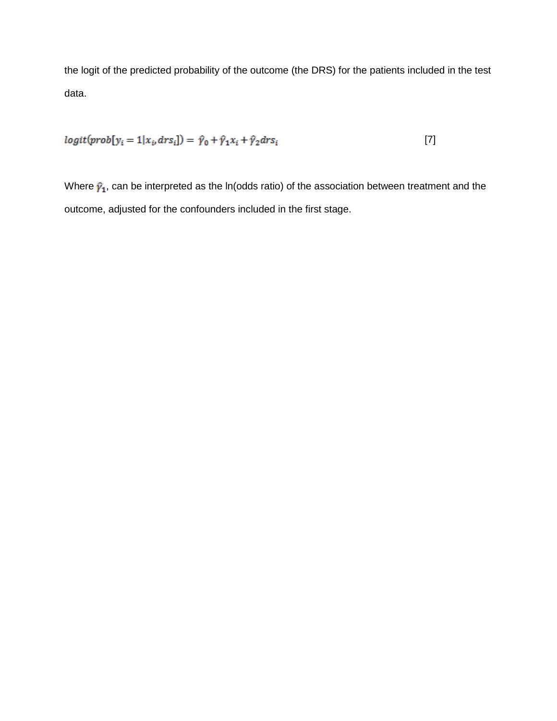the logit of the predicted probability of the outcome (the DRS) for the patients included in the test data.

$$
logit(prob[y_i = 1 | x_i, dr s_i]) = \hat{\gamma}_0 + \hat{\gamma}_1 x_i + \hat{\gamma}_2 dr s_i
$$
\n
$$
\tag{7}
$$

Where  $\hat{\mathbf{y}}_1$ , can be interpreted as the ln(odds ratio) of the association between treatment and the outcome, adjusted for the confounders included in the first stage.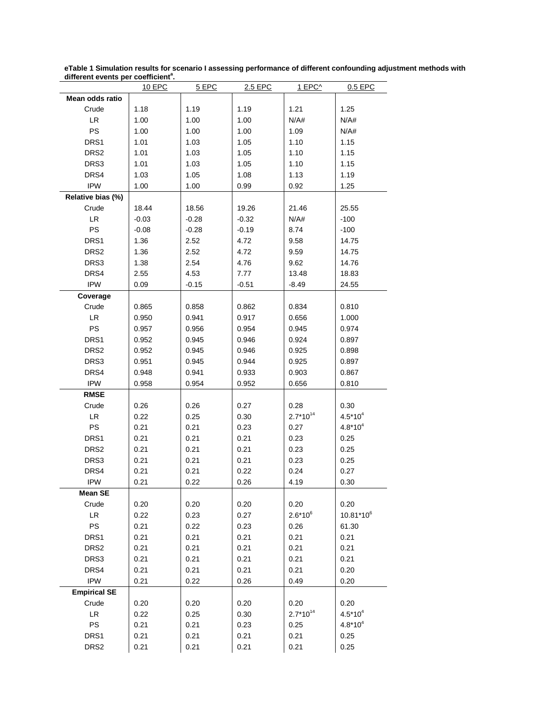| amerent events per coemcient . |         |         |         |               |                       |
|--------------------------------|---------|---------|---------|---------------|-----------------------|
| Mean odds ratio                | 10 EPC  | 5 EPC   | 2.5 EPC | <u>1 EPC^</u> | 0.5 EPC               |
| Crude                          |         |         |         |               |                       |
| LR.                            | 1.18    | 1.19    | 1.19    | 1.21          | 1.25                  |
| <b>PS</b>                      | 1.00    | 1.00    | 1.00    | N/A#          | N/A#                  |
|                                | 1.00    | 1.00    | 1.00    | 1.09          | N/A#                  |
| DRS1                           | 1.01    | 1.03    | 1.05    | 1.10          | 1.15                  |
| DRS <sub>2</sub>               | 1.01    | 1.03    | 1.05    | 1.10          | 1.15                  |
| DRS3                           | 1.01    | 1.03    | 1.05    | 1.10          | 1.15                  |
| DRS4                           | 1.03    | 1.05    | 1.08    | 1.13          | 1.19                  |
| <b>IPW</b>                     | 1.00    | 1.00    | 0.99    | 0.92          | 1.25                  |
| Relative bias (%)              |         |         |         |               |                       |
| Crude                          | 18.44   | 18.56   | 19.26   | 21.46         | 25.55                 |
| LR                             | $-0.03$ | $-0.28$ | $-0.32$ | N/A#          | $-100$                |
| PS                             | $-0.08$ | $-0.28$ | $-0.19$ | 8.74          | $-100$                |
| DRS1                           | 1.36    | 2.52    | 4.72    | 9.58          | 14.75                 |
| DRS <sub>2</sub>               | 1.36    | 2.52    | 4.72    | 9.59          | 14.75                 |
| DRS3                           | 1.38    | 2.54    | 4.76    | 9.62          | 14.76                 |
| DRS4                           | 2.55    | 4.53    | 7.77    | 13.48         | 18.83                 |
| <b>IPW</b>                     | 0.09    | $-0.15$ | $-0.51$ | $-8.49$       | 24.55                 |
| Coverage                       |         |         |         |               |                       |
| Crude                          | 0.865   | 0.858   | 0.862   | 0.834         | 0.810                 |
| LR                             | 0.950   | 0.941   | 0.917   | 0.656         | 1.000                 |
| PS                             | 0.957   | 0.956   | 0.954   | 0.945         | 0.974                 |
| DRS1                           | 0.952   | 0.945   | 0.946   | 0.924         | 0.897                 |
| DRS <sub>2</sub>               | 0.952   | 0.945   | 0.946   | 0.925         | 0.898                 |
| DRS3                           | 0.951   | 0.945   | 0.944   | 0.925         | 0.897                 |
| DRS4                           | 0.948   | 0.941   | 0.933   | 0.903         | 0.867                 |
| <b>IPW</b>                     | 0.958   | 0.954   | 0.952   | 0.656         | 0.810                 |
| <b>RMSE</b>                    |         |         |         |               |                       |
| Crude                          | 0.26    | 0.26    | 0.27    | 0.28          | 0.30                  |
| LR                             | 0.22    | 0.25    | 0.30    | $2.7*10^{14}$ | $4.5*10^{4}$          |
| PS                             | 0.21    | 0.21    | 0.23    | 0.27          | $4.8*10^{4}$          |
| DRS1                           | 0.21    | 0.21    | 0.21    | 0.23          | 0.25                  |
| DRS <sub>2</sub>               | 0.21    | 0.21    | 0.21    | 0.23          | 0.25                  |
| DRS3                           | 0.21    | 0.21    | 0.21    | 0.23          | 0.25                  |
| DRS4                           | 0.21    | 0.21    | 0.22    | 0.24          | 0.27                  |
| <b>IPW</b>                     | 0.21    | 0.22    | 0.26    | 4.19          | 0.30                  |
| <b>Mean SE</b>                 |         |         |         |               |                       |
| Crude                          | 0.20    | 0.20    | 0.20    | 0.20          | 0.20                  |
| LR.                            | 0.22    | 0.23    | 0.27    | $2.6*10^{6}$  | 10.81*10 <sup>6</sup> |
| PS                             | 0.21    | 0.22    | 0.23    | 0.26          | 61.30                 |
| DRS1                           | 0.21    | 0.21    | 0.21    | 0.21          | 0.21                  |
| DRS <sub>2</sub>               | 0.21    | 0.21    | 0.21    | 0.21          | 0.21                  |
| DRS3                           | 0.21    | 0.21    | 0.21    | 0.21          | 0.21                  |
| DRS4                           | 0.21    | 0.21    | 0.21    | 0.21          | 0.20                  |
| <b>IPW</b>                     | 0.21    | 0.22    | 0.26    | 0.49          | 0.20                  |
|                                |         |         |         |               |                       |
| <b>Empirical SE</b>            |         |         |         |               |                       |
| Crude                          | 0.20    | 0.20    | 0.20    | 0.20          | 0.20                  |
| LR.                            | 0.22    | 0.25    | 0.30    | $2.7*10^{14}$ | $4.5*10^{4}$          |
| PS                             | 0.21    | 0.21    | 0.23    | 0.25          | $4.8*10^{4}$          |
| DRS1                           | 0.21    | 0.21    | 0.21    | 0.21          | 0.25                  |
| DRS <sub>2</sub>               | 0.21    | 0.21    | 0.21    | 0.21          | 0.25                  |

**eTable 1 Simulation results for scenario I assessing performance of different confounding adjustment methods with different events per coefficient<sup>a</sup> .**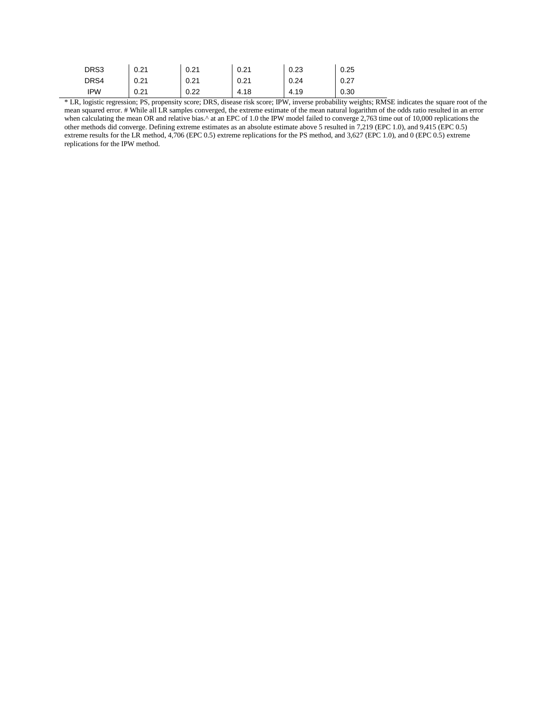| DRS3 | 0.21 | 0.21 | 0.21 | 0.23 | 0.25 |
|------|------|------|------|------|------|
| DRS4 | 0.21 | 0.21 | 0.21 | 0.24 | 0.27 |
| IPW  | 0.21 | 0.22 | 4.18 | 4.19 | 0.30 |

\* LR, logistic regression; PS, propensity score; DRS, disease risk score; IPW, inverse probability weights; RMSE indicates the square root of the mean squared error. # While all LR samples converged, the extreme estimate of the mean natural logarithm of the odds ratio resulted in an error when calculating the mean OR and relative bias.^ at an EPC of 1.0 the IPW model failed to converge 2,763 time out of 10,000 replications the other methods did converge. Defining extreme estimates as an absolute estimate above 5 resulted in 7,219 (EPC 1.0), and 9,415 (EPC 0.5) extreme results for the LR method, 4,706 (EPC 0.5) extreme replications for the PS method, and 3,627 (EPC 1.0), and 0 (EPC 0.5) extreme replications for the IPW method.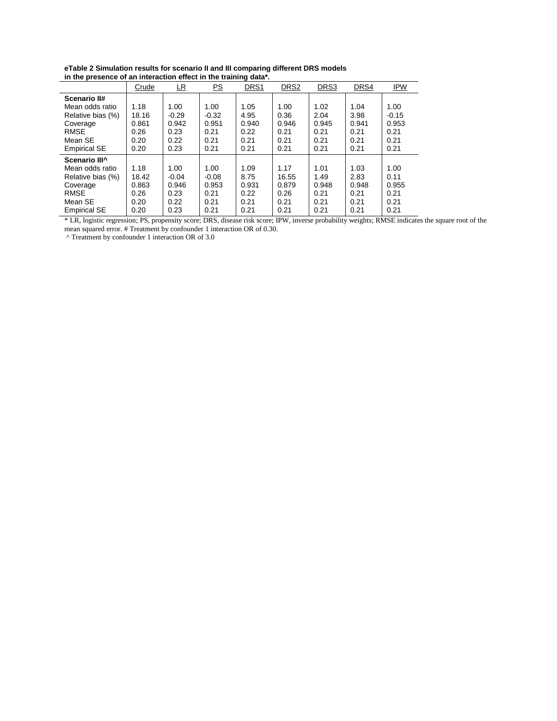| eTable 2 Simulation results for scenario II and III comparing different DRS models |
|------------------------------------------------------------------------------------|
| in the presence of an interaction effect in the training data*.                    |

| $\overline{a}$ and $\overline{b}$ are presence of an interaction enect in the training data. |       |           |         |       |                  |       |       |            |
|----------------------------------------------------------------------------------------------|-------|-----------|---------|-------|------------------|-------|-------|------------|
|                                                                                              | Crude | <u>LR</u> | PS      | DRS1  | DRS <sub>2</sub> | DRS3  | DRS4  | <b>IPW</b> |
| Scenario II#                                                                                 |       |           |         |       |                  |       |       |            |
| Mean odds ratio                                                                              | 1.18  | 1.00      | 1.00    | 1.05  | 1.00             | 1.02  | 1.04  | 1.00       |
| Relative bias (%)                                                                            | 18.16 | $-0.29$   | $-0.32$ | 4.95  | 0.36             | 2.04  | 3.98  | $-0.15$    |
| Coverage                                                                                     | 0.861 | 0.942     | 0.951   | 0.940 | 0.946            | 0.945 | 0.941 | 0.953      |
| <b>RMSE</b>                                                                                  | 0.26  | 0.23      | 0.21    | 0.22  | 0.21             | 0.21  | 0.21  | 0.21       |
| Mean SE                                                                                      | 0.20  | 0.22      | 0.21    | 0.21  | 0.21             | 0.21  | 0.21  | 0.21       |
| <b>Empirical SE</b>                                                                          | 0.20  | 0.23      | 0.21    | 0.21  | 0.21             | 0.21  | 0.21  | 0.21       |
| Scenario III^                                                                                |       |           |         |       |                  |       |       |            |
| Mean odds ratio                                                                              | 1.18  | 1.00      | 1.00    | 1.09  | 1.17             | 1.01  | 1.03  | 1.00       |
| Relative bias (%)                                                                            | 18.42 | $-0.04$   | $-0.08$ | 8.75  | 16.55            | 1.49  | 2.83  | 0.11       |
| Coverage                                                                                     | 0.863 | 0.946     | 0.953   | 0.931 | 0.879            | 0.948 | 0.948 | 0.955      |
| <b>RMSE</b>                                                                                  | 0.26  | 0.23      | 0.21    | 0.22  | 0.26             | 0.21  | 0.21  | 0.21       |
| Mean SE                                                                                      | 0.20  | 0.22      | 0.21    | 0.21  | 0.21             | 0.21  | 0.21  | 0.21       |
| <b>Empirical SE</b>                                                                          | 0.20  | 0.23      | 0.21    | 0.21  | 0.21             | 0.21  | 0.21  | 0.21       |

\* LR, logistic regression; PS, propensity score; DRS, disease risk score; IPW, inverse probability weights; RMSE indicates the square root of the mean squared error. # Treatment by confounder 1 interaction OR of 0.30.

^ Treatment by confounder 1 interaction OR of 3.0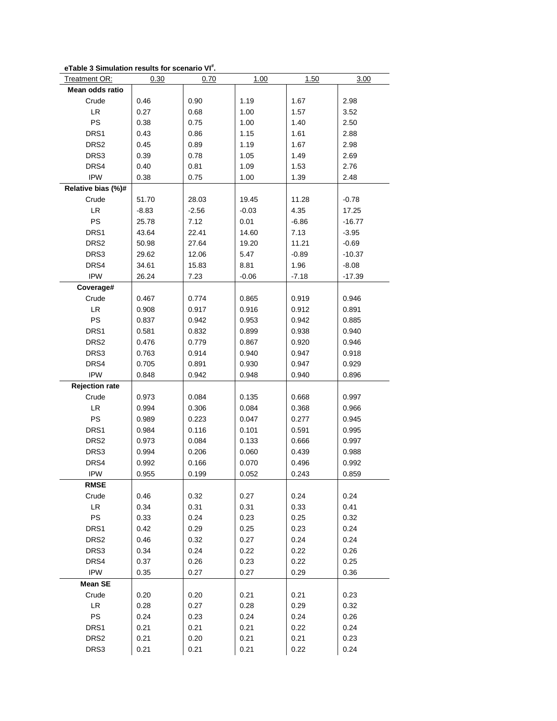| eTable 3 Simulation results for scenario VI". |  |
|-----------------------------------------------|--|
|-----------------------------------------------|--|

| Treatment OR:         | 0.30    | 0.70    | 1.00    | 1.50    | 3.00     |
|-----------------------|---------|---------|---------|---------|----------|
| Mean odds ratio       |         |         |         |         |          |
| Crude                 | 0.46    | 0.90    | 1.19    | 1.67    | 2.98     |
| LR                    | 0.27    | 0.68    | 1.00    | 1.57    | 3.52     |
| PS                    | 0.38    | 0.75    | 1.00    | 1.40    | 2.50     |
| DRS1                  | 0.43    | 0.86    | 1.15    | 1.61    | 2.88     |
| DRS <sub>2</sub>      | 0.45    | 0.89    | 1.19    | 1.67    | 2.98     |
| DRS3                  | 0.39    | 0.78    | 1.05    | 1.49    | 2.69     |
| DRS4                  | 0.40    | 0.81    | 1.09    | 1.53    | 2.76     |
| <b>IPW</b>            | 0.38    | 0.75    | 1.00    | 1.39    | 2.48     |
| Relative bias (%)#    |         |         |         |         |          |
| Crude                 | 51.70   | 28.03   | 19.45   | 11.28   | $-0.78$  |
| <b>LR</b>             | $-8.83$ | $-2.56$ | $-0.03$ | 4.35    | 17.25    |
| PS                    | 25.78   | 7.12    | 0.01    | $-6.86$ | $-16.77$ |
| DRS1                  | 43.64   | 22.41   | 14.60   | 7.13    | $-3.95$  |
| DRS <sub>2</sub>      | 50.98   | 27.64   | 19.20   | 11.21   | $-0.69$  |
| DRS3                  | 29.62   | 12.06   | 5.47    | $-0.89$ | $-10.37$ |
| DRS4                  | 34.61   | 15.83   | 8.81    | 1.96    | $-8.08$  |
| <b>IPW</b>            | 26.24   | 7.23    | $-0.06$ | $-7.18$ | $-17.39$ |
| Coverage#             |         |         |         |         |          |
| Crude                 | 0.467   | 0.774   | 0.865   | 0.919   | 0.946    |
| <b>LR</b>             | 0.908   | 0.917   | 0.916   | 0.912   | 0.891    |
| PS                    | 0.837   | 0.942   | 0.953   | 0.942   | 0.885    |
| DRS1                  | 0.581   | 0.832   | 0.899   | 0.938   | 0.940    |
| DRS <sub>2</sub>      | 0.476   | 0.779   | 0.867   | 0.920   | 0.946    |
| DRS3                  | 0.763   | 0.914   | 0.940   | 0.947   | 0.918    |
| DRS4                  | 0.705   | 0.891   | 0.930   | 0.947   | 0.929    |
| <b>IPW</b>            | 0.848   | 0.942   | 0.948   | 0.940   | 0.896    |
| <b>Rejection rate</b> |         |         |         |         |          |
| Crude                 | 0.973   | 0.084   | 0.135   | 0.668   | 0.997    |
| LR                    | 0.994   | 0.306   | 0.084   | 0.368   | 0.966    |
| PS                    | 0.989   | 0.223   | 0.047   | 0.277   | 0.945    |
| DRS1                  | 0.984   | 0.116   | 0.101   | 0.591   | 0.995    |
| DRS <sub>2</sub>      | 0.973   | 0.084   | 0.133   | 0.666   | 0.997    |
| DRS3                  | 0.994   | 0.206   | 0.060   | 0.439   | 0.988    |
| DRS4                  | 0.992   | 0.166   | 0.070   | 0.496   | 0.992    |
| <b>IPW</b>            | 0.955   | 0.199   | 0.052   | 0.243   | 0.859    |
| <b>RMSE</b>           |         |         |         |         |          |
| Crude                 | 0.46    | 0.32    | 0.27    | 0.24    | 0.24     |
| LR.                   | 0.34    | 0.31    | 0.31    | 0.33    | 0.41     |
| PS                    | 0.33    | 0.24    | 0.23    | 0.25    | 0.32     |
| DRS1                  | 0.42    | 0.29    | 0.25    | 0.23    | 0.24     |
| DRS <sub>2</sub>      | 0.46    | 0.32    | 0.27    | 0.24    | 0.24     |
| DRS3                  | 0.34    | 0.24    | 0.22    | 0.22    | 0.26     |
| DRS4                  | 0.37    | 0.26    | 0.23    | 0.22    | 0.25     |
| <b>IPW</b>            | 0.35    | 0.27    | 0.27    | 0.29    | 0.36     |
| <b>Mean SE</b>        |         |         |         |         |          |
| Crude                 | 0.20    | 0.20    | 0.21    | 0.21    | 0.23     |
| LR                    | 0.28    | 0.27    | 0.28    | 0.29    | 0.32     |
| PS                    | 0.24    | 0.23    | 0.24    | 0.24    | 0.26     |
| DRS1                  | 0.21    | 0.21    | 0.21    | 0.22    | 0.24     |
| DRS <sub>2</sub>      | 0.21    | 0.20    | 0.21    | 0.21    | 0.23     |
| DRS3                  | 0.21    | 0.21    | 0.21    | 0.22    | 0.24     |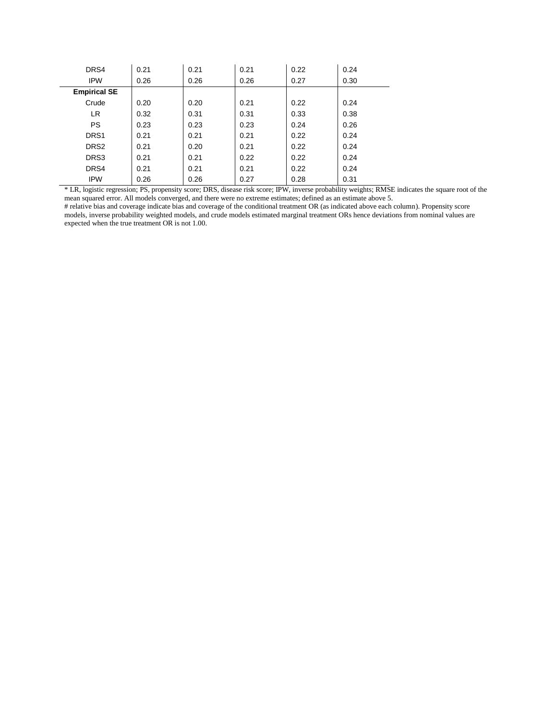| DRS4                | 0.21 | 0.21 | 0.21 | 0.22 | 0.24 |
|---------------------|------|------|------|------|------|
| <b>IPW</b>          | 0.26 | 0.26 | 0.26 | 0.27 | 0.30 |
| <b>Empirical SE</b> |      |      |      |      |      |
| Crude               | 0.20 | 0.20 | 0.21 | 0.22 | 0.24 |
| <b>LR</b>           | 0.32 | 0.31 | 0.31 | 0.33 | 0.38 |
| <b>PS</b>           | 0.23 | 0.23 | 0.23 | 0.24 | 0.26 |
| DRS1                | 0.21 | 0.21 | 0.21 | 0.22 | 0.24 |
| DRS <sub>2</sub>    | 0.21 | 0.20 | 0.21 | 0.22 | 0.24 |
| DRS3                | 0.21 | 0.21 | 0.22 | 0.22 | 0.24 |
| DRS4                | 0.21 | 0.21 | 0.21 | 0.22 | 0.24 |
| <b>IPW</b>          | 0.26 | 0.26 | 0.27 | 0.28 | 0.31 |

\* LR, logistic regression; PS, propensity score; DRS, disease risk score; IPW, inverse probability weights; RMSE indicates the square root of the mean squared error. All models converged, and there were no extreme estimates; defined as an estimate above 5.

# relative bias and coverage indicate bias and coverage of the conditional treatment OR (as indicated above each column). Propensity score models, inverse probability weighted models, and crude models estimated marginal treatment ORs hence deviations from nominal values are expected when the true treatment OR is not 1.00.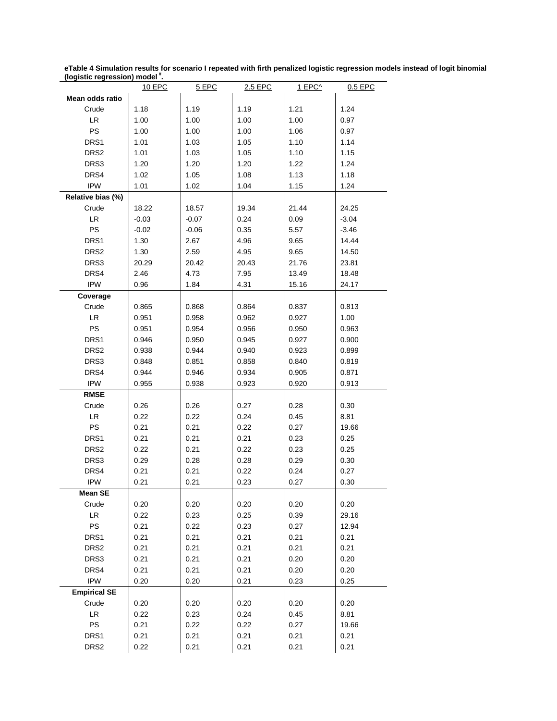| (logistic regression) model. |               |         |         |        |         |
|------------------------------|---------------|---------|---------|--------|---------|
|                              | <b>10 EPC</b> | 5 EPC   | 2.5 EPC | 1 EPC^ | 0.5 EPC |
| Mean odds ratio              |               |         |         |        |         |
| Crude                        | 1.18          | 1.19    | 1.19    | 1.21   | 1.24    |
| LR                           | 1.00          | 1.00    | 1.00    | 1.00   | 0.97    |
| PS                           | 1.00          | 1.00    | 1.00    | 1.06   | 0.97    |
| DRS1                         | 1.01          | 1.03    | 1.05    | 1.10   | 1.14    |
| DRS <sub>2</sub>             | 1.01          | 1.03    | 1.05    | 1.10   | 1.15    |
| DRS3                         | 1.20          | 1.20    | 1.20    | 1.22   | 1.24    |
| DRS4                         | 1.02          | 1.05    | 1.08    | 1.13   | 1.18    |
| <b>IPW</b>                   | 1.01          | 1.02    | 1.04    | 1.15   | 1.24    |
| Relative bias (%)            |               |         |         |        |         |
| Crude                        | 18.22         | 18.57   | 19.34   | 21.44  | 24.25   |
| LR                           | $-0.03$       | $-0.07$ | 0.24    | 0.09   | $-3.04$ |
| PS                           | $-0.02$       | $-0.06$ | 0.35    | 5.57   | $-3.46$ |
| DRS1                         | 1.30          | 2.67    | 4.96    | 9.65   | 14.44   |
| DRS <sub>2</sub>             | 1.30          | 2.59    | 4.95    | 9.65   | 14.50   |
| DRS3                         |               |         |         |        |         |
|                              | 20.29         | 20.42   | 20.43   | 21.76  | 23.81   |
| DRS4                         | 2.46          | 4.73    | 7.95    | 13.49  | 18.48   |
| <b>IPW</b>                   | 0.96          | 1.84    | 4.31    | 15.16  | 24.17   |
| Coverage                     |               |         |         |        |         |
| Crude                        | 0.865         | 0.868   | 0.864   | 0.837  | 0.813   |
| LR                           | 0.951         | 0.958   | 0.962   | 0.927  | 1.00    |
| PS                           | 0.951         | 0.954   | 0.956   | 0.950  | 0.963   |
| DRS1                         | 0.946         | 0.950   | 0.945   | 0.927  | 0.900   |
| DRS <sub>2</sub>             | 0.938         | 0.944   | 0.940   | 0.923  | 0.899   |
| DRS3                         | 0.848         | 0.851   | 0.858   | 0.840  | 0.819   |
| DRS4                         | 0.944         | 0.946   | 0.934   | 0.905  | 0.871   |
| <b>IPW</b>                   | 0.955         | 0.938   | 0.923   | 0.920  | 0.913   |
| <b>RMSE</b>                  |               |         |         |        |         |
| Crude                        | 0.26          | 0.26    | 0.27    | 0.28   | 0.30    |
| LR                           | 0.22          | 0.22    | 0.24    | 0.45   | 8.81    |
| PS                           | 0.21          | 0.21    | 0.22    | 0.27   | 19.66   |
|                              |               |         |         |        |         |
| DRS1                         | 0.21          | 0.21    | 0.21    | 0.23   | 0.25    |
| DRS2                         | 0.22          | 0.21    | 0.22    | 0.23   | 0.25    |
| DRS3                         | 0.29          | 0.28    | 0.28    | 0.29   | 0.30    |
| DRS4                         | 0.21          | 0.21    | 0.22    | 0.24   | 0.27    |
| <b>IPW</b>                   | 0.21          | 0.21    | 0.23    | 0.27   | 0.30    |
| <b>Mean SE</b>               |               |         |         |        |         |
| Crude                        | 0.20          | 0.20    | 0.20    | 0.20   | 0.20    |
| ${\sf LR}$                   | 0.22          | 0.23    | 0.25    | 0.39   | 29.16   |
| PS                           | 0.21          | 0.22    | 0.23    | 0.27   | 12.94   |
| DRS1                         | 0.21          | 0.21    | 0.21    | 0.21   | 0.21    |
| DRS <sub>2</sub>             | 0.21          | 0.21    | 0.21    | 0.21   | 0.21    |
| DRS3                         | 0.21          | 0.21    | 0.21    | 0.20   | 0.20    |
| DRS4                         | 0.21          | 0.21    | 0.21    | 0.20   | 0.20    |
| <b>IPW</b>                   | 0.20          | 0.20    | 0.21    | 0.23   | 0.25    |
| <b>Empirical SE</b>          |               |         |         |        |         |
| Crude                        | 0.20          | 0.20    | 0.20    | 0.20   | 0.20    |
| LR                           | 0.22          | 0.23    | 0.24    | 0.45   | 8.81    |
| PS                           | 0.21          |         | 0.22    |        | 19.66   |
|                              |               | 0.22    |         | 0.27   |         |
| DRS1                         | 0.21          | 0.21    | 0.21    | 0.21   | 0.21    |
| DRS2                         | 0.22          | 0.21    | 0.21    | 0.21   | 0.21    |

**eTable 4 Simulation results for scenario I repeated with firth penalized logistic regression models instead of logit binomial (logistic regression) model # .**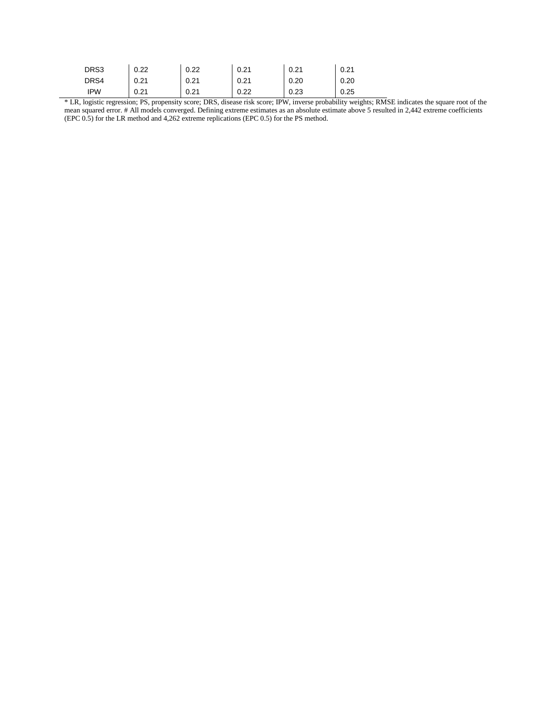| DRS3 | 0.22 | 0.22 | 0.21 | 0.21 | 0.21 |
|------|------|------|------|------|------|
| DRS4 | 0.21 | 0.21 | 0.21 | 0.20 | 0.20 |
| IPW  | 0.21 | 0.21 | 0.22 | 0.23 | 0.25 |

\* LR, logistic regression; PS, propensity score; DRS, disease risk score; IPW, inverse probability weights; RMSE indicates the square root of the mean squared error. # All models converged. Defining extreme estimates as an absolute estimate above 5 resulted in 2,442 extreme coefficients (EPC 0.5) for the LR method and 4,262 extreme replications (EPC 0.5) for the PS method.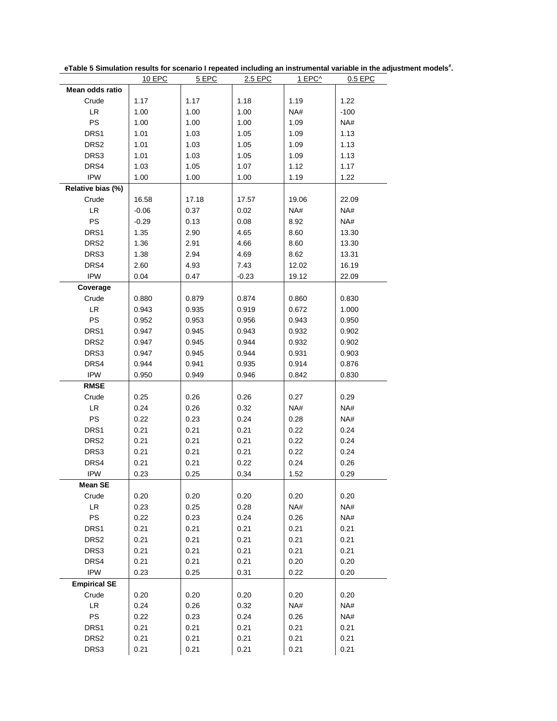|                     | 10 EPC  | 5 EPC | 2.5 EPC        | 1 EPC^ | 0.5 EPC |
|---------------------|---------|-------|----------------|--------|---------|
| Mean odds ratio     |         |       |                |        |         |
| Crude               | 1.17    | 1.17  | 1.18           | 1.19   | 1.22    |
| LR                  | 1.00    | 1.00  | 1.00           | NA#    | $-100$  |
| PS                  | 1.00    | 1.00  | 1.00           | 1.09   | NA#     |
| DRS1                | 1.01    | 1.03  | 1.05           | 1.09   | 1.13    |
| DRS <sub>2</sub>    | 1.01    | 1.03  | 1.05           | 1.09   | 1.13    |
| DRS3                | 1.01    | 1.03  | 1.05           | 1.09   | 1.13    |
| DRS4                | 1.03    | 1.05  | 1.07           | 1.12   | 1.17    |
| <b>IPW</b>          | 1.00    | 1.00  | 1.00           | 1.19   | 1.22    |
| Relative bias (%)   |         |       |                |        |         |
| Crude               | 16.58   | 17.18 | 17.57          | 19.06  | 22.09   |
| <b>LR</b>           | $-0.06$ | 0.37  | 0.02           | NA#    | NA#     |
| PS                  | $-0.29$ | 0.13  | 0.08           | 8.92   | NA#     |
| DRS1                | 1.35    | 2.90  | 4.65           | 8.60   | 13.30   |
| DRS <sub>2</sub>    | 1.36    | 2.91  | 4.66           | 8.60   | 13.30   |
| DRS3                | 1.38    | 2.94  | 4.69           | 8.62   | 13.31   |
| DRS4                | 2.60    | 4.93  | 7.43           | 12.02  | 16.19   |
| <b>IPW</b>          | 0.04    | 0.47  | $-0.23$        | 19.12  | 22.09   |
| Coverage            |         |       |                |        |         |
| Crude               | 0.880   | 0.879 |                | 0.860  | 0.830   |
| <b>LR</b>           | 0.943   | 0.935 | 0.874<br>0.919 | 0.672  | 1.000   |
| <b>PS</b>           |         |       |                |        |         |
|                     | 0.952   | 0.953 | 0.956          | 0.943  | 0.950   |
| DRS1                | 0.947   | 0.945 | 0.943          | 0.932  | 0.902   |
| DRS <sub>2</sub>    | 0.947   | 0.945 | 0.944          | 0.932  | 0.902   |
| DRS3                | 0.947   | 0.945 | 0.944          | 0.931  | 0.903   |
| DRS4                | 0.944   | 0.941 | 0.935          | 0.914  | 0.876   |
| <b>IPW</b>          | 0.950   | 0.949 | 0.946          | 0.842  | 0.830   |
| <b>RMSE</b>         |         |       |                |        |         |
| Crude               | 0.25    | 0.26  | 0.26           | 0.27   | 0.29    |
| LR                  | 0.24    | 0.26  | 0.32           | NA#    | NA#     |
| <b>PS</b>           | 0.22    | 0.23  | 0.24           | 0.28   | NA#     |
| DRS1                | 0.21    | 0.21  | 0.21           | 0.22   | 0.24    |
| DRS2                | 0.21    | 0.21  | 0.21           | 0.22   | 0.24    |
| DRS3                | 0.21    | 0.21  | 0.21           | 0.22   | 0.24    |
| DRS4                | 0.21    | 0.21  | 0.22           | 0.24   | 0.26    |
| <b>IPW</b>          | 0.23    | 0.25  | 0.34           | 1.52   | 0.29    |
| Mean SE             |         |       |                |        |         |
| Crude               | 0.20    | 0.20  | 0.20           | 0.20   | 0.20    |
| LR                  | 0.23    | 0.25  | 0.28           | NA#    | NA#     |
| PS                  | 0.22    | 0.23  | 0.24           | 0.26   | NA#     |
| DRS1                | 0.21    | 0.21  | 0.21           | 0.21   | 0.21    |
| DRS <sub>2</sub>    | 0.21    | 0.21  | 0.21           | 0.21   | 0.21    |
| DRS3                | 0.21    | 0.21  | 0.21           | 0.21   | 0.21    |
| DRS4                | 0.21    | 0.21  | 0.21           | 0.20   | 0.20    |
| <b>IPW</b>          | 0.23    | 0.25  | 0.31           | 0.22   | 0.20    |
| <b>Empirical SE</b> |         |       |                |        |         |
| Crude               | 0.20    | 0.20  | 0.20           | 0.20   | 0.20    |
| LR                  | 0.24    | 0.26  | 0.32           | NA#    | NA#     |
| PS                  | 0.22    | 0.23  | 0.24           | 0.26   | NA#     |
| DRS1                | 0.21    | 0.21  | 0.21           | 0.21   | 0.21    |
| DRS2                | 0.21    | 0.21  | 0.21           | 0.21   | 0.21    |
| DRS3                | 0.21    | 0.21  | 0.21           | 0.21   | 0.21    |
|                     |         |       |                |        |         |

**eTable 5 Simulation results for scenario I repeated including an instrumental variable in the adjustment models# .**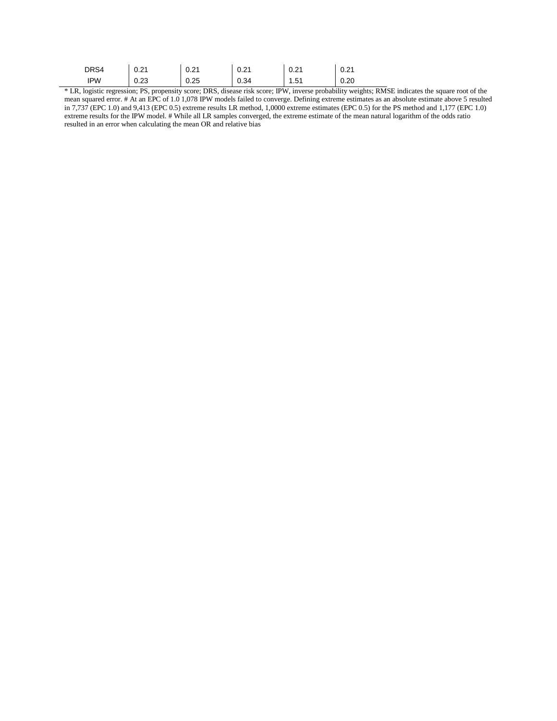| DRS4       | 0.21 | 0.21 | 0.21 | 0.21 | 0.21 |
|------------|------|------|------|------|------|
| <b>IPW</b> | 0.23 | 0.25 | 0.34 | 1.51 | 0.20 |

\* LR, logistic regression; PS, propensity score; DRS, disease risk score; IPW, inverse probability weights; RMSE indicates the square root of the mean squared error. # At an EPC of 1.0 1,078 IPW models failed to converge. Defining extreme estimates as an absolute estimate above 5 resulted in 7,737 (EPC 1.0) and 9,413 (EPC 0.5) extreme results LR method, 1,0000 extreme estimates (EPC 0.5) for the PS method and 1,177 (EPC 1.0) extreme results for the IPW model. # While all LR samples converged, the extreme estimate of the mean natural logarithm of the odds ratio resulted in an error when calculating the mean OR and relative bias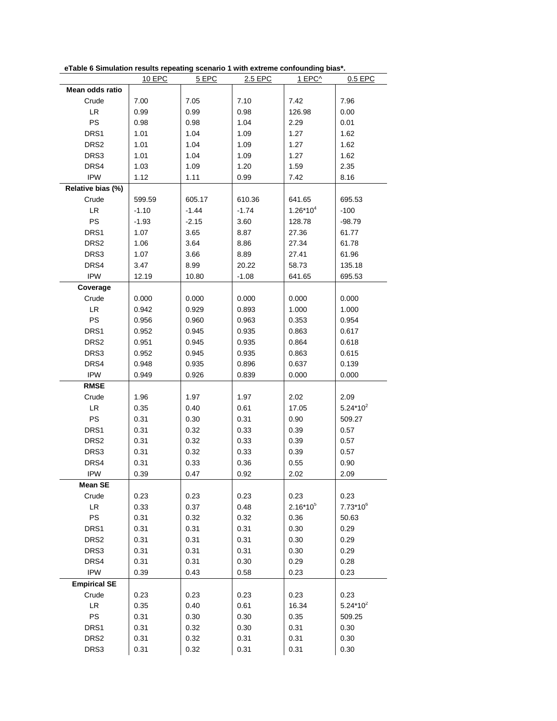|                                   | 10 EPC  | 5 EPC   | 2.5 EPC | 1 EPC <sup>^</sup> | 0.5 EPC       |
|-----------------------------------|---------|---------|---------|--------------------|---------------|
| Mean odds ratio                   |         |         |         |                    |               |
| Crude                             | 7.00    | 7.05    | 7.10    | 7.42               | 7.96          |
| <b>LR</b>                         | 0.99    | 0.99    | 0.98    | 126.98             | 0.00          |
| <b>PS</b>                         | 0.98    | 0.98    | 1.04    | 2.29               | 0.01          |
| DRS <sub>1</sub>                  | 1.01    | 1.04    | 1.09    | 1.27               | 1.62          |
| DRS <sub>2</sub>                  | 1.01    | 1.04    | 1.09    | 1.27               | 1.62          |
| DRS3                              | 1.01    | 1.04    | 1.09    | 1.27               | 1.62          |
| DRS4                              | 1.03    | 1.09    | 1.20    | 1.59               | 2.35          |
| <b>IPW</b>                        | 1.12    | 1.11    | 0.99    | 7.42               | 8.16          |
|                                   |         |         |         |                    |               |
| Relative bias (%)                 |         |         |         |                    |               |
| Crude                             | 599.59  | 605.17  | 610.36  | 641.65             | 695.53        |
| <b>LR</b>                         | $-1.10$ | $-1.44$ | $-1.74$ | $1.26*10^{4}$      | $-100$        |
| PS                                | $-1.93$ | $-2.15$ | 3.60    | 128.78             | $-98.79$      |
| DRS1                              | 1.07    | 3.65    | 8.87    | 27.36              | 61.77         |
| DRS <sub>2</sub>                  | 1.06    | 3.64    | 8.86    | 27.34              | 61.78         |
| DRS3                              | 1.07    | 3.66    | 8.89    | 27.41              | 61.96         |
| DRS4                              | 3.47    | 8.99    | 20.22   | 58.73              | 135.18        |
| <b>IPW</b>                        | 12.19   | 10.80   | $-1.08$ | 641.65             | 695.53        |
| Coverage                          |         |         |         |                    |               |
| Crude                             | 0.000   | 0.000   | 0.000   | 0.000              | 0.000         |
| LR                                | 0.942   | 0.929   | 0.893   | 1.000              | 1.000         |
| PS                                | 0.956   | 0.960   | 0.963   | 0.353              | 0.954         |
| DRS <sub>1</sub>                  | 0.952   | 0.945   | 0.935   | 0.863              | 0.617         |
| DRS <sub>2</sub>                  | 0.951   | 0.945   | 0.935   | 0.864              | 0.618         |
| DRS3                              | 0.952   | 0.945   | 0.935   | 0.863              | 0.615         |
| DRS4                              | 0.948   | 0.935   | 0.896   | 0.637              | 0.139         |
| <b>IPW</b>                        | 0.949   | 0.926   | 0.839   | 0.000              | 0.000         |
| <b>RMSE</b>                       |         |         |         |                    |               |
| Crude                             | 1.96    | 1.97    | 1.97    | 2.02               | 2.09          |
| LR                                | 0.35    | 0.40    | 0.61    | 17.05              | $5.24*10^{2}$ |
| PS                                | 0.31    | 0.30    | 0.31    | 0.90               | 509.27        |
| DRS1                              | 0.31    | 0.32    | 0.33    | 0.39               | 0.57          |
| DRS <sub>2</sub>                  | 0.31    | 0.32    | 0.33    | 0.39               | 0.57          |
| DRS3                              | 0.31    | 0.32    | 0.33    | 0.39               | 0.57          |
| DRS4                              | 0.31    | 0.33    | 0.36    | 0.55               | 0.90          |
| <b>IPW</b>                        | 0.39    | 0.47    | 0.92    | 2.02               | 2.09          |
| <b>Mean SE</b>                    |         |         |         |                    |               |
| Crude                             | 0.23    | 0.23    | 0.23    | 0.23               | 0.23          |
| $\ensuremath{\mathsf{LR}}\xspace$ | 0.33    | 0.37    | 0.48    | $2.16*10^{5}$      | $7.73*10^{6}$ |
| PS                                | 0.31    | 0.32    | 0.32    | 0.36               | 50.63         |
| DRS1                              | 0.31    | 0.31    | 0.31    | 0.30               | 0.29          |
| DRS <sub>2</sub>                  |         |         |         |                    | 0.29          |
|                                   | 0.31    | 0.31    | 0.31    | 0.30               |               |
| DRS3                              | 0.31    | 0.31    | 0.31    | 0.30               | 0.29          |
| DRS4                              | 0.31    | 0.31    | 0.30    | 0.29               | 0.28          |
| <b>IPW</b>                        | 0.39    | 0.43    | 0.58    | 0.23               | 0.23          |
| <b>Empirical SE</b>               |         |         |         |                    |               |
| Crude                             | 0.23    | 0.23    | 0.23    | 0.23               | 0.23          |
| $\ensuremath{\mathsf{LR}}$        | 0.35    | 0.40    | 0.61    | 16.34              | $5.24*10^{2}$ |
| PS                                | 0.31    | 0.30    | 0.30    | 0.35               | 509.25        |
| DRS1                              | 0.31    | 0.32    | 0.30    | 0.31               | 0.30          |
| DRS <sub>2</sub>                  | 0.31    | 0.32    | 0.31    | 0.31               | 0.30          |
| DRS3                              | 0.31    | 0.32    | 0.31    | 0.31               | 0.30          |

**eTable 6 Simulation results repeating scenario 1 with extreme confounding bias\*.**